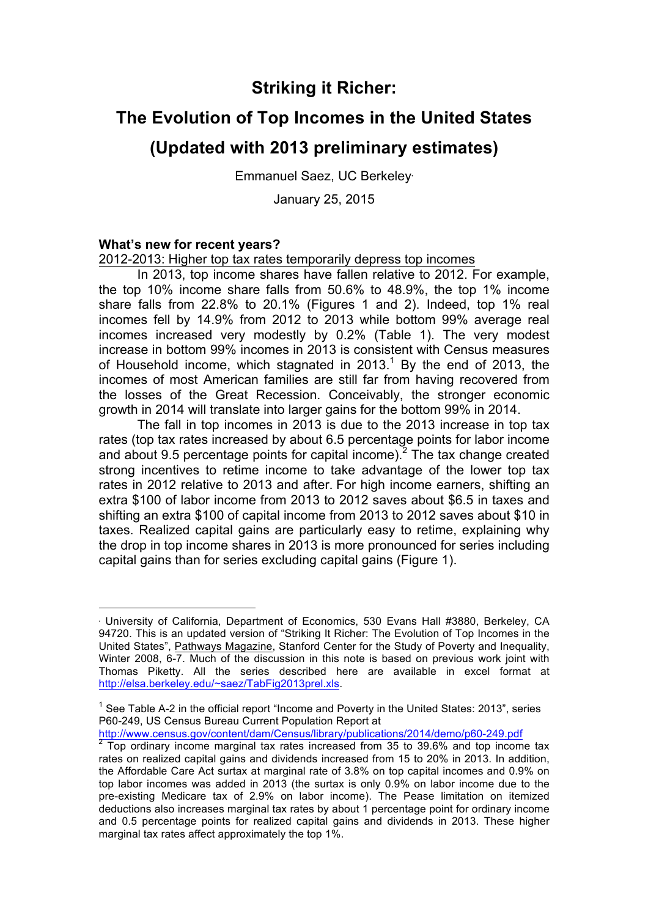# **Striking it Richer:**

# **The Evolution of Top Incomes in the United States**

## **(Updated with 2013 preliminary estimates)**

Emmanuel Saez, UC Berkeley•

January 25, 2015

#### **What's new for recent years?**

1

2012-2013: Higher top tax rates temporarily depress top incomes

In 2013, top income shares have fallen relative to 2012. For example, the top 10% income share falls from 50.6% to 48.9%, the top 1% income share falls from 22.8% to 20.1% (Figures 1 and 2). Indeed, top 1% real incomes fell by 14.9% from 2012 to 2013 while bottom 99% average real incomes increased very modestly by 0.2% (Table 1). The very modest increase in bottom 99% incomes in 2013 is consistent with Census measures of Household income, which stagnated in  $2013<sup>1</sup>$  By the end of 2013, the incomes of most American families are still far from having recovered from the losses of the Great Recession. Conceivably, the stronger economic growth in 2014 will translate into larger gains for the bottom 99% in 2014.

The fall in top incomes in 2013 is due to the 2013 increase in top tax rates (top tax rates increased by about 6.5 percentage points for labor income and about 9.5 percentage points for capital income).<sup>2</sup> The tax change created strong incentives to retime income to take advantage of the lower top tax rates in 2012 relative to 2013 and after. For high income earners, shifting an extra \$100 of labor income from 2013 to 2012 saves about \$6.5 in taxes and shifting an extra \$100 of capital income from 2013 to 2012 saves about \$10 in taxes. Realized capital gains are particularly easy to retime, explaining why the drop in top income shares in 2013 is more pronounced for series including capital gains than for series excluding capital gains (Figure 1).

<sup>•</sup> University of California, Department of Economics, 530 Evans Hall #3880, Berkeley, CA 94720. This is an updated version of "Striking It Richer: The Evolution of Top Incomes in the United States", Pathways Magazine, Stanford Center for the Study of Poverty and Inequality, Winter 2008, 6-7. Much of the discussion in this note is based on previous work joint with Thomas Piketty. All the series described here are available in excel format at http://elsa.berkeley.edu/~saez/TabFig2013prel.xls.

 $1$  See Table A-2 in the official report "Income and Poverty in the United States: 2013", series P60-249, US Census Bureau Current Population Report at<br>http://www.census.gov/content/dam/Census/library/publications/2014/demo/p60-249.pdf

<sup>&</sup>lt;sup>2</sup> Top ordinary income marginal tax rates increased from 35 to 39.6% and top income tax rates on realized capital gains and dividends increased from 15 to 20% in 2013. In addition, the Affordable Care Act surtax at marginal rate of 3.8% on top capital incomes and 0.9% on top labor incomes was added in 2013 (the surtax is only 0.9% on labor income due to the pre-existing Medicare tax of 2.9% on labor income). The Pease limitation on itemized deductions also increases marginal tax rates by about 1 percentage point for ordinary income and 0.5 percentage points for realized capital gains and dividends in 2013. These higher marginal tax rates affect approximately the top 1%.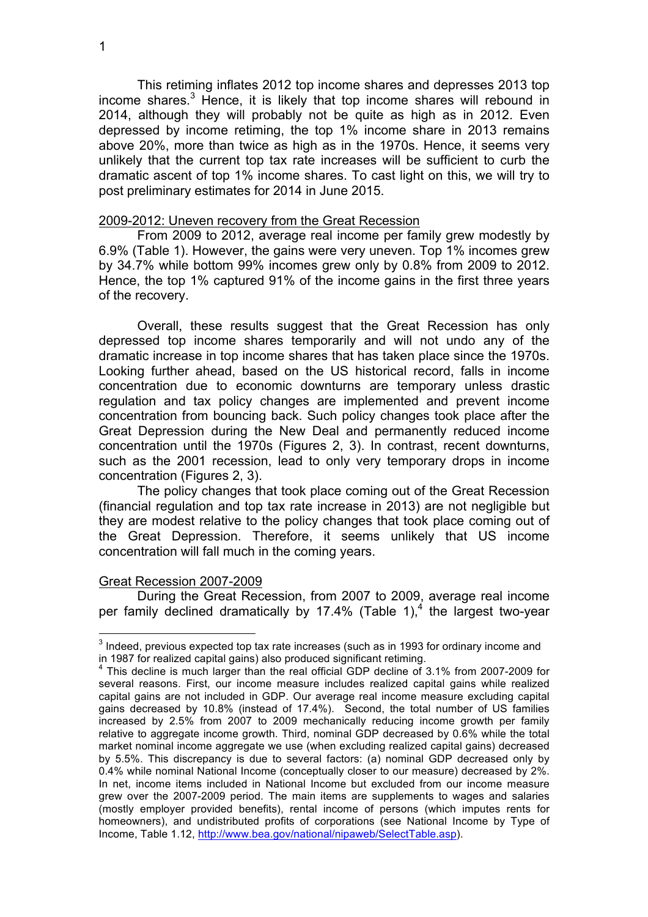This retiming inflates 2012 top income shares and depresses 2013 top income shares.<sup>3</sup> Hence, it is likely that top income shares will rebound in 2014, although they will probably not be quite as high as in 2012. Even depressed by income retiming, the top 1% income share in 2013 remains above 20%, more than twice as high as in the 1970s. Hence, it seems very unlikely that the current top tax rate increases will be sufficient to curb the dramatic ascent of top 1% income shares. To cast light on this, we will try to post preliminary estimates for 2014 in June 2015.

#### 2009-2012: Uneven recovery from the Great Recession

From 2009 to 2012, average real income per family grew modestly by 6.9% (Table 1). However, the gains were very uneven. Top 1% incomes grew by 34.7% while bottom 99% incomes grew only by 0.8% from 2009 to 2012. Hence, the top 1% captured 91% of the income gains in the first three years of the recovery.

Overall, these results suggest that the Great Recession has only depressed top income shares temporarily and will not undo any of the dramatic increase in top income shares that has taken place since the 1970s. Looking further ahead, based on the US historical record, falls in income concentration due to economic downturns are temporary unless drastic regulation and tax policy changes are implemented and prevent income concentration from bouncing back. Such policy changes took place after the Great Depression during the New Deal and permanently reduced income concentration until the 1970s (Figures 2, 3). In contrast, recent downturns, such as the 2001 recession, lead to only very temporary drops in income concentration (Figures 2, 3).

The policy changes that took place coming out of the Great Recession (financial regulation and top tax rate increase in 2013) are not negligible but they are modest relative to the policy changes that took place coming out of the Great Depression. Therefore, it seems unlikely that US income concentration will fall much in the coming years.

#### Great Recession 2007-2009

During the Great Recession, from 2007 to 2009, average real income per family declined dramatically by 17.4% (Table 1),<sup>4</sup> the largest two-year

 $3$  Indeed, previous expected top tax rate increases (such as in 1993 for ordinary income and in 1987 for realized capital gains) also produced significant retiming.

<sup>4</sup> This decline is much larger than the real official GDP decline of 3.1% from 2007-2009 for several reasons. First, our income measure includes realized capital gains while realized capital gains are not included in GDP. Our average real income measure excluding capital gains decreased by 10.8% (instead of 17.4%). Second, the total number of US families increased by 2.5% from 2007 to 2009 mechanically reducing income growth per family relative to aggregate income growth. Third, nominal GDP decreased by 0.6% while the total market nominal income aggregate we use (when excluding realized capital gains) decreased by 5.5%. This discrepancy is due to several factors: (a) nominal GDP decreased only by 0.4% while nominal National Income (conceptually closer to our measure) decreased by 2%. In net, income items included in National Income but excluded from our income measure grew over the 2007-2009 period. The main items are supplements to wages and salaries (mostly employer provided benefits), rental income of persons (which imputes rents for homeowners), and undistributed profits of corporations (see National Income by Type of Income, Table 1.12, http://www.bea.gov/national/nipaweb/SelectTable.asp).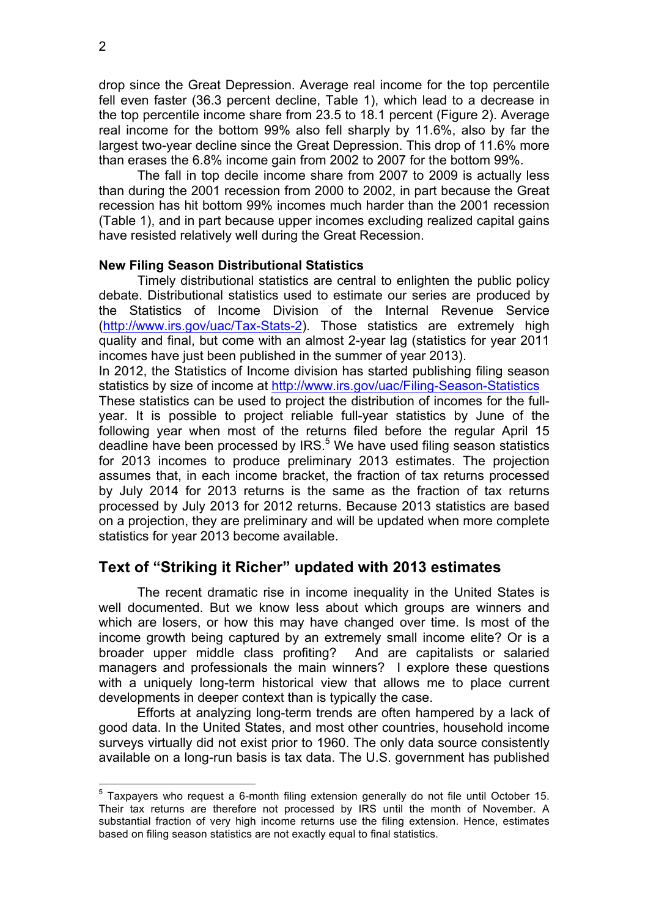drop since the Great Depression. Average real income for the top percentile fell even faster (36.3 percent decline, Table 1), which lead to a decrease in the top percentile income share from 23.5 to 18.1 percent (Figure 2). Average real income for the bottom 99% also fell sharply by 11.6%, also by far the largest two-year decline since the Great Depression. This drop of 11.6% more than erases the 6.8% income gain from 2002 to 2007 for the bottom 99%.

The fall in top decile income share from 2007 to 2009 is actually less than during the 2001 recession from 2000 to 2002, in part because the Great recession has hit bottom 99% incomes much harder than the 2001 recession (Table 1), and in part because upper incomes excluding realized capital gains have resisted relatively well during the Great Recession.

### **New Filing Season Distributional Statistics**

Timely distributional statistics are central to enlighten the public policy debate. Distributional statistics used to estimate our series are produced by the Statistics of Income Division of the Internal Revenue Service (http://www.irs.gov/uac/Tax-Stats-2). Those statistics are extremely high quality and final, but come with an almost 2-year lag (statistics for year 2011 incomes have just been published in the summer of year 2013).

In 2012, the Statistics of Income division has started publishing filing season statistics by size of income at http://www.irs.gov/uac/Filing-Season-Statistics

These statistics can be used to project the distribution of incomes for the fullyear. It is possible to project reliable full-year statistics by June of the following year when most of the returns filed before the regular April 15 deadline have been processed by IRS. $5$  We have used filing season statistics for 2013 incomes to produce preliminary 2013 estimates. The projection assumes that, in each income bracket, the fraction of tax returns processed by July 2014 for 2013 returns is the same as the fraction of tax returns processed by July 2013 for 2012 returns. Because 2013 statistics are based on a projection, they are preliminary and will be updated when more complete statistics for year 2013 become available.

## **Text of "Striking it Richer" updated with 2013 estimates**

The recent dramatic rise in income inequality in the United States is well documented. But we know less about which groups are winners and which are losers, or how this may have changed over time. Is most of the income growth being captured by an extremely small income elite? Or is a broader upper middle class profiting? And are capitalists or salaried managers and professionals the main winners? I explore these questions with a uniquely long-term historical view that allows me to place current developments in deeper context than is typically the case.

Efforts at analyzing long-term trends are often hampered by a lack of good data. In the United States, and most other countries, household income surveys virtually did not exist prior to 1960. The only data source consistently available on a long-run basis is tax data. The U.S. government has published

<sup>&</sup>lt;sup>5</sup> Taxpayers who request a 6-month filing extension generally do not file until October 15. Their tax returns are therefore not processed by IRS until the month of November. A substantial fraction of very high income returns use the filing extension. Hence, estimates based on filing season statistics are not exactly equal to final statistics.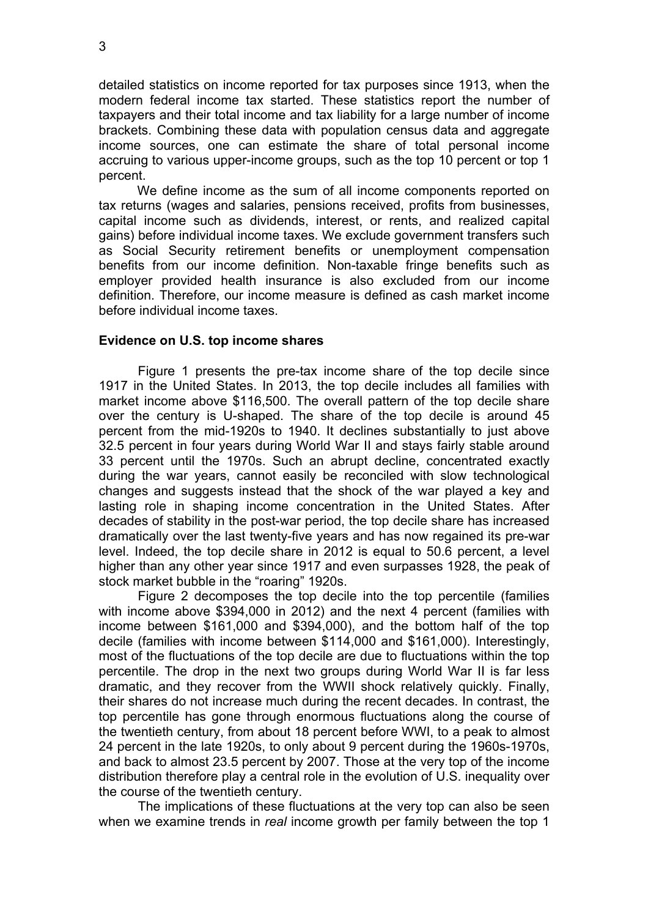detailed statistics on income reported for tax purposes since 1913, when the modern federal income tax started. These statistics report the number of taxpayers and their total income and tax liability for a large number of income brackets. Combining these data with population census data and aggregate income sources, one can estimate the share of total personal income accruing to various upper-income groups, such as the top 10 percent or top 1 percent.

We define income as the sum of all income components reported on tax returns (wages and salaries, pensions received, profits from businesses, capital income such as dividends, interest, or rents, and realized capital gains) before individual income taxes. We exclude government transfers such as Social Security retirement benefits or unemployment compensation benefits from our income definition. Non-taxable fringe benefits such as employer provided health insurance is also excluded from our income definition. Therefore, our income measure is defined as cash market income before individual income taxes.

### **Evidence on U.S. top income shares**

Figure 1 presents the pre-tax income share of the top decile since 1917 in the United States. In 2013, the top decile includes all families with market income above \$116,500. The overall pattern of the top decile share over the century is U-shaped. The share of the top decile is around 45 percent from the mid-1920s to 1940. It declines substantially to just above 32.5 percent in four years during World War II and stays fairly stable around 33 percent until the 1970s. Such an abrupt decline, concentrated exactly during the war years, cannot easily be reconciled with slow technological changes and suggests instead that the shock of the war played a key and lasting role in shaping income concentration in the United States. After decades of stability in the post-war period, the top decile share has increased dramatically over the last twenty-five years and has now regained its pre-war level. Indeed, the top decile share in 2012 is equal to 50.6 percent, a level higher than any other year since 1917 and even surpasses 1928, the peak of stock market bubble in the "roaring" 1920s.

Figure 2 decomposes the top decile into the top percentile (families with income above \$394,000 in 2012) and the next 4 percent (families with income between \$161,000 and \$394,000), and the bottom half of the top decile (families with income between \$114,000 and \$161,000). Interestingly, most of the fluctuations of the top decile are due to fluctuations within the top percentile. The drop in the next two groups during World War II is far less dramatic, and they recover from the WWII shock relatively quickly. Finally, their shares do not increase much during the recent decades. In contrast, the top percentile has gone through enormous fluctuations along the course of the twentieth century, from about 18 percent before WWI, to a peak to almost 24 percent in the late 1920s, to only about 9 percent during the 1960s-1970s, and back to almost 23.5 percent by 2007. Those at the very top of the income distribution therefore play a central role in the evolution of U.S. inequality over the course of the twentieth century.

The implications of these fluctuations at the very top can also be seen when we examine trends in *real* income growth per family between the top 1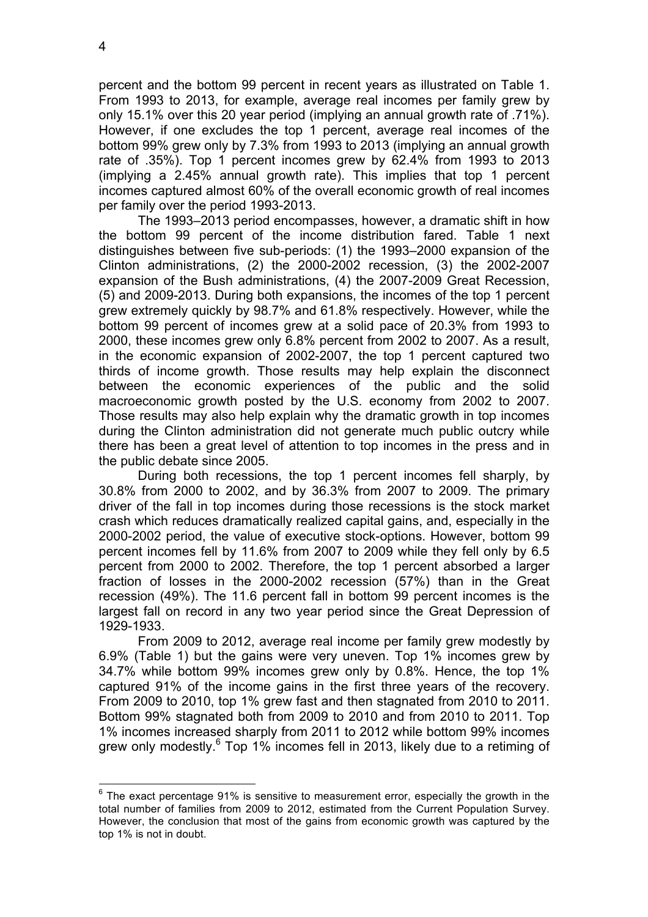percent and the bottom 99 percent in recent years as illustrated on Table 1. From 1993 to 2013, for example, average real incomes per family grew by only 15.1% over this 20 year period (implying an annual growth rate of .71%). However, if one excludes the top 1 percent, average real incomes of the bottom 99% grew only by 7.3% from 1993 to 2013 (implying an annual growth rate of .35%). Top 1 percent incomes grew by 62.4% from 1993 to 2013 (implying a 2.45% annual growth rate). This implies that top 1 percent incomes captured almost 60% of the overall economic growth of real incomes per family over the period 1993-2013.

The 1993–2013 period encompasses, however, a dramatic shift in how the bottom 99 percent of the income distribution fared. Table 1 next distinguishes between five sub-periods: (1) the 1993–2000 expansion of the Clinton administrations, (2) the 2000-2002 recession, (3) the 2002-2007 expansion of the Bush administrations, (4) the 2007-2009 Great Recession, (5) and 2009-2013. During both expansions, the incomes of the top 1 percent grew extremely quickly by 98.7% and 61.8% respectively. However, while the bottom 99 percent of incomes grew at a solid pace of 20.3% from 1993 to 2000, these incomes grew only 6.8% percent from 2002 to 2007. As a result, in the economic expansion of 2002-2007, the top 1 percent captured two thirds of income growth. Those results may help explain the disconnect between the economic experiences of the public and the solid macroeconomic growth posted by the U.S. economy from 2002 to 2007. Those results may also help explain why the dramatic growth in top incomes during the Clinton administration did not generate much public outcry while there has been a great level of attention to top incomes in the press and in the public debate since 2005.

During both recessions, the top 1 percent incomes fell sharply, by 30.8% from 2000 to 2002, and by 36.3% from 2007 to 2009. The primary driver of the fall in top incomes during those recessions is the stock market crash which reduces dramatically realized capital gains, and, especially in the 2000-2002 period, the value of executive stock-options. However, bottom 99 percent incomes fell by 11.6% from 2007 to 2009 while they fell only by 6.5 percent from 2000 to 2002. Therefore, the top 1 percent absorbed a larger fraction of losses in the 2000-2002 recession (57%) than in the Great recession (49%). The 11.6 percent fall in bottom 99 percent incomes is the largest fall on record in any two year period since the Great Depression of 1929-1933.

From 2009 to 2012, average real income per family grew modestly by 6.9% (Table 1) but the gains were very uneven. Top 1% incomes grew by 34.7% while bottom 99% incomes grew only by 0.8%. Hence, the top 1% captured 91% of the income gains in the first three years of the recovery. From 2009 to 2010, top 1% grew fast and then stagnated from 2010 to 2011. Bottom 99% stagnated both from 2009 to 2010 and from 2010 to 2011. Top 1% incomes increased sharply from 2011 to 2012 while bottom 99% incomes grew only modestly.<sup>6</sup> Top 1% incomes fell in 2013, likely due to a retiming of

 $6$  The exact percentage 91% is sensitive to measurement error, especially the growth in the total number of families from 2009 to 2012, estimated from the Current Population Survey. However, the conclusion that most of the gains from economic growth was captured by the top 1% is not in doubt.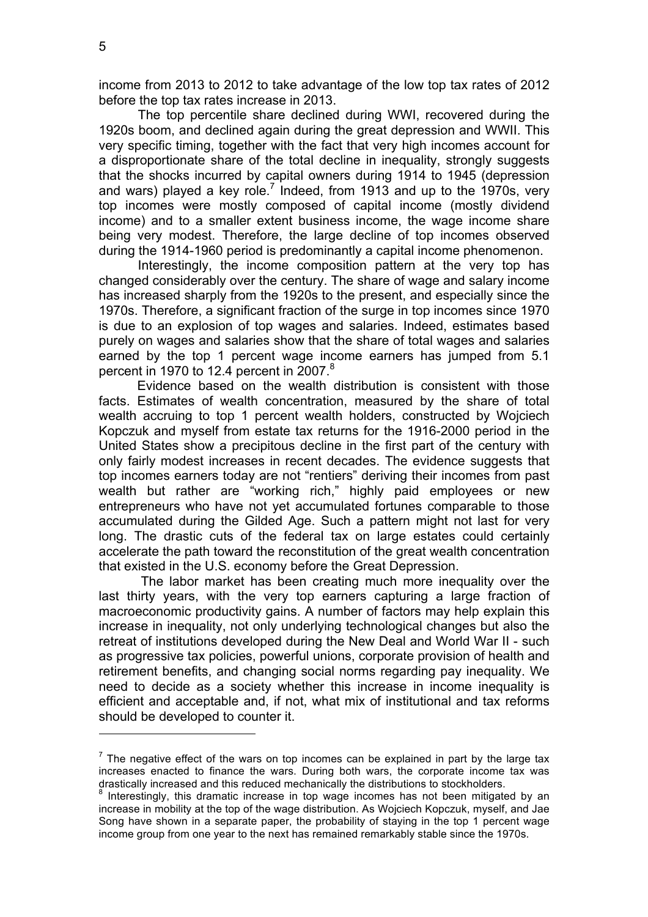income from 2013 to 2012 to take advantage of the low top tax rates of 2012 before the top tax rates increase in 2013.

The top percentile share declined during WWI, recovered during the 1920s boom, and declined again during the great depression and WWII. This very specific timing, together with the fact that very high incomes account for a disproportionate share of the total decline in inequality, strongly suggests that the shocks incurred by capital owners during 1914 to 1945 (depression and wars) played a key role.<sup>7</sup> Indeed, from 1913 and up to the 1970s, very top incomes were mostly composed of capital income (mostly dividend income) and to a smaller extent business income, the wage income share being very modest. Therefore, the large decline of top incomes observed during the 1914-1960 period is predominantly a capital income phenomenon.

Interestingly, the income composition pattern at the very top has changed considerably over the century. The share of wage and salary income has increased sharply from the 1920s to the present, and especially since the 1970s. Therefore, a significant fraction of the surge in top incomes since 1970 is due to an explosion of top wages and salaries. Indeed, estimates based purely on wages and salaries show that the share of total wages and salaries earned by the top 1 percent wage income earners has jumped from 5.1 percent in 1970 to 12.4 percent in 2007.<sup>8</sup>

Evidence based on the wealth distribution is consistent with those facts. Estimates of wealth concentration, measured by the share of total wealth accruing to top 1 percent wealth holders, constructed by Wojciech Kopczuk and myself from estate tax returns for the 1916-2000 period in the United States show a precipitous decline in the first part of the century with only fairly modest increases in recent decades. The evidence suggests that top incomes earners today are not "rentiers" deriving their incomes from past wealth but rather are "working rich," highly paid employees or new entrepreneurs who have not yet accumulated fortunes comparable to those accumulated during the Gilded Age. Such a pattern might not last for very long. The drastic cuts of the federal tax on large estates could certainly accelerate the path toward the reconstitution of the great wealth concentration that existed in the U.S. economy before the Great Depression.

The labor market has been creating much more inequality over the last thirty years, with the very top earners capturing a large fraction of macroeconomic productivity gains. A number of factors may help explain this increase in inequality, not only underlying technological changes but also the retreat of institutions developed during the New Deal and World War II - such as progressive tax policies, powerful unions, corporate provision of health and retirement benefits, and changing social norms regarding pay inequality. We need to decide as a society whether this increase in income inequality is efficient and acceptable and, if not, what mix of institutional and tax reforms should be developed to counter it.

1

 $<sup>7</sup>$  The negative effect of the wars on top incomes can be explained in part by the large tax</sup> increases enacted to finance the wars. During both wars, the corporate income tax was drastically increased and this reduced mechanically the distributions to stockholders.<br><sup>8</sup> Interestingly, this dramatic increase in top wage incomes has not been mitigated by an

increase in mobility at the top of the wage distribution. As Wojciech Kopczuk, myself, and Jae Song have shown in a separate paper, the probability of staying in the top 1 percent wage income group from one year to the next has remained remarkably stable since the 1970s.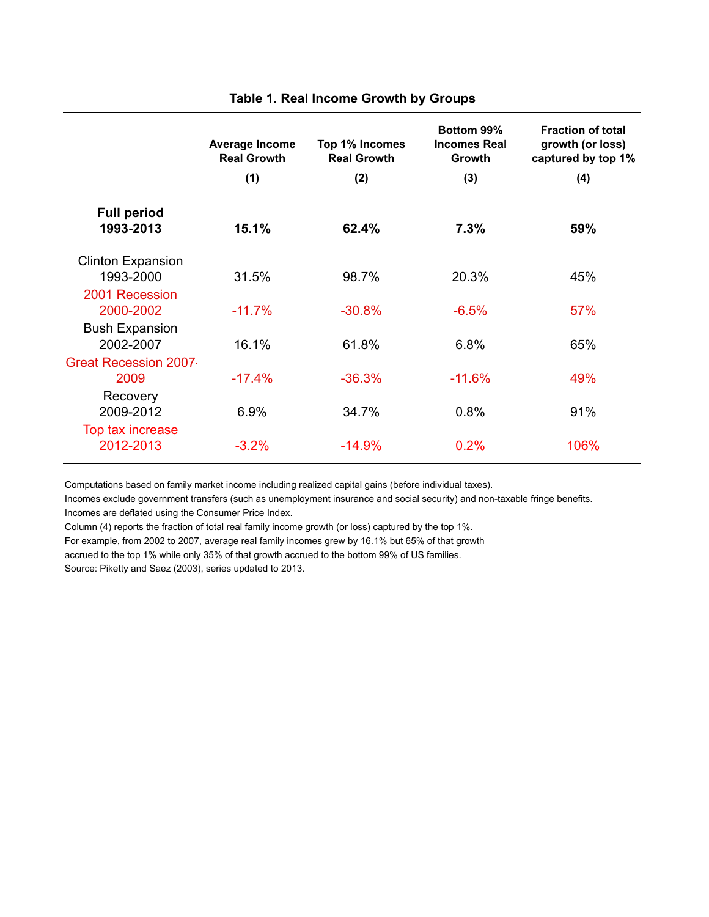|                                           | <b>Average Income</b><br><b>Real Growth</b><br>(1) | Top 1% Incomes<br><b>Real Growth</b><br>(2) | Bottom 99%<br><b>Incomes Real</b><br>Growth<br>(3) | <b>Fraction of total</b><br>growth (or loss)<br>captured by top 1%<br>(4) |
|-------------------------------------------|----------------------------------------------------|---------------------------------------------|----------------------------------------------------|---------------------------------------------------------------------------|
| <b>Full period</b><br>1993-2013           | 15.1%                                              | 62.4%                                       | 7.3%                                               | <b>59%</b>                                                                |
| <b>Clinton Expansion</b><br>1993-2000     | 31.5%                                              | 98.7%                                       | 20.3%                                              | 45%                                                                       |
| 2001 Recession<br>2000-2002               | $-11.7%$                                           | $-30.8%$                                    | $-6.5%$                                            | 57%                                                                       |
| <b>Bush Expansion</b><br>2002-2007        | 16.1%                                              | 61.8%                                       | 6.8%                                               | 65%                                                                       |
| <b>Great Recession 2007-</b><br>2009      | $-17.4%$                                           | $-36.3%$                                    | $-11.6%$                                           | 49%                                                                       |
| Recovery<br>2009-2012<br>Top tax increase | 6.9%                                               | 34.7%                                       | 0.8%                                               | 91%                                                                       |
| 2012-2013                                 | $-3.2%$                                            | $-14.9%$                                    | 0.2%                                               | 106%                                                                      |

### **Table 1. Real Income Growth by Groups**

Computations based on family market income including realized capital gains (before individual taxes).

Incomes exclude government transfers (such as unemployment insurance and social security) and non-taxable fringe benefits. Incomes are deflated using the Consumer Price Index.

Column (4) reports the fraction of total real family income growth (or loss) captured by the top 1%.

For example, from 2002 to 2007, average real family incomes grew by 16.1% but 65% of that growth

accrued to the top 1% while only 35% of that growth accrued to the bottom 99% of US families.

Source: Piketty and Saez (2003), series updated to 2013.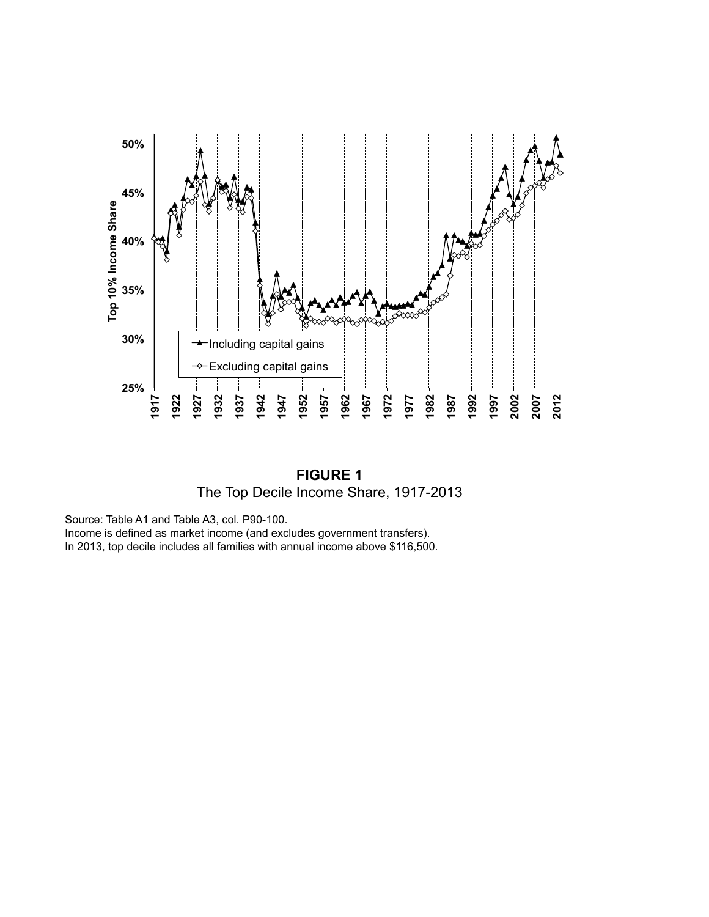

**FIGURE 1** The Top Decile Income Share, 1917-2013

Source: Table A1 and Table A3, col. P90-100.

Income is defined as market income (and excludes government transfers).

In 2013, top decile includes all families with annual income above \$116,500.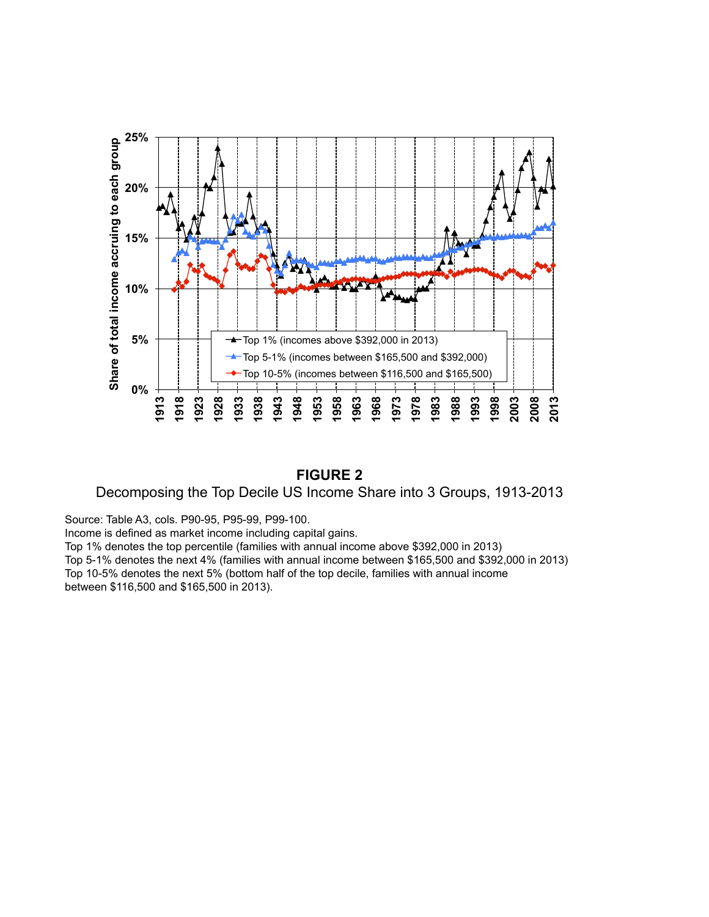

## **FIGURE 2**

Decomposing the Top Decile US Income Share into 3 Groups, 1913-2013

Source: Table A3, cols. P90-95, P95-99, P99-100.

Income is defined as market income including capital gains.

Top 1% denotes the top percentile (families with annual income above \$392,000 in 2013)

Top 5-1% denotes the next 4% (families with annual income between \$165,500 and \$392,000 in 2013) Top 10-5% denotes the next 5% (bottom half of the top decile, families with annual income

between \$116,500 and \$165,500 in 2013).